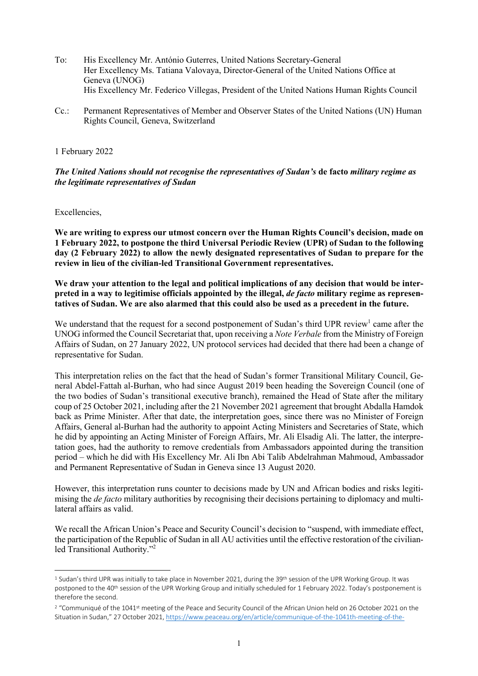- To: His Excellency Mr. António Guterres, United Nations Secretary-General Her Excellency Ms. Tatiana Valovaya, Director-General of the United Nations Office at Geneva (UNOG) His Excellency Mr. Federico Villegas, President of the United Nations Human Rights Council
- Cc.: Permanent Representatives of Member and Observer States of the United Nations (UN) Human Rights Council, Geneva, Switzerland

## 1 February 2022

*The United Nations should not recognise the representatives of Sudan's* **de facto** *military regime as the legitimate representatives of Sudan* 

Excellencies,

**We are writing to express our utmost concern over the Human Rights Council's decision, made on 1 February 2022, to postpone the third Universal Periodic Review (UPR) of Sudan to the following day (2 February 2022) to allow the newly designated representatives of Sudan to prepare for the review in lieu of the civilian-led Transitional Government representatives.** 

**We draw your attention to the legal and political implications of any decision that would be interpreted in a way to legitimise officials appointed by the illegal,** *de facto* **military regime as representatives of Sudan. We are also alarmed that this could also be used as a precedent in the future.** 

We understand that the request for a second postponement of Sudan's third UPR review<sup>1</sup> came after the UNOG informed the Council Secretariat that, upon receiving a *Note Verbale* from the Ministry of Foreign Affairs of Sudan, on 27 January 2022, UN protocol services had decided that there had been a change of representative for Sudan.

This interpretation relies on the fact that the head of Sudan's former Transitional Military Council, General Abdel-Fattah al-Burhan, who had since August 2019 been heading the Sovereign Council (one of the two bodies of Sudan's transitional executive branch), remained the Head of State after the military coup of 25 October 2021, including after the 21 November 2021 agreement that brought Abdalla Hamdok back as Prime Minister. After that date, the interpretation goes, since there was no Minister of Foreign Affairs, General al-Burhan had the authority to appoint Acting Ministers and Secretaries of State, which he did by appointing an Acting Minister of Foreign Affairs, Mr. Ali Elsadig Ali. The latter, the interpretation goes, had the authority to remove credentials from Ambassadors appointed during the transition period – which he did with His Excellency Mr. Ali Ibn Abi Talib Abdelrahman Mahmoud, Ambassador and Permanent Representative of Sudan in Geneva since 13 August 2020.

However, this interpretation runs counter to decisions made by UN and African bodies and risks legitimising the *de facto* military authorities by recognising their decisions pertaining to diplomacy and multilateral affairs as valid.

We recall the African Union's Peace and Security Council's decision to "suspend, with immediate effect, the participation of the Republic of Sudan in all AU activities until the effective restoration of the civilianled Transitional Authority."2

<sup>&</sup>lt;sup>1</sup> Sudan's third UPR was initially to take place in November 2021, during the 39<sup>th</sup> session of the UPR Working Group. It was postponed to the 40<sup>th</sup> session of the UPR Working Group and initially scheduled for 1 February 2022. Today's postponement is therefore the second.

<sup>&</sup>lt;sup>2</sup> "Communiqué of the 1041<sup>st</sup> meeting of the Peace and Security Council of the African Union held on 26 October 2021 on the Situation in Sudan," 27 October 2021, https://www.peaceau.org/en/article/communique-of-the-1041th-meeting-of-the-